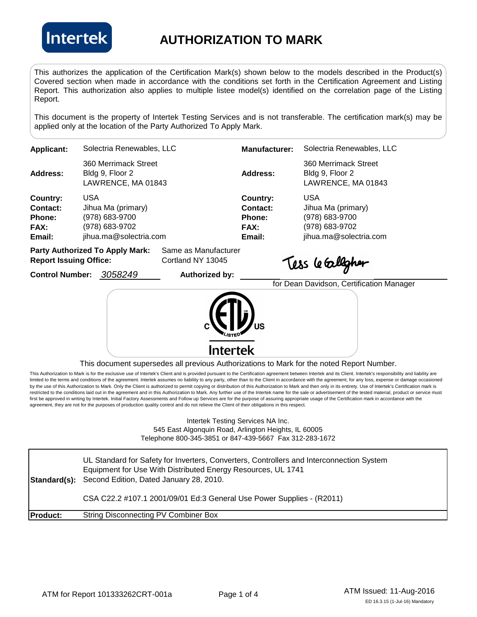

## **AUTHORIZATION TO MARK**

This authorizes the application of the Certification Mark(s) shown below to the models described in the Product(s) Covered section when made in accordance with the conditions set forth in the Certification Agreement and Listing Report. This authorization also applies to multiple listee model(s) identified on the correlation page of the Listing Report.

This document is the property of Intertek Testing Services and is not transferable. The certification mark(s) may be applied only at the location of the Party Authorized To Apply Mark.

| Applicant:      | Solectria Renewables, LLC                                     | <b>Manufacturer:</b> | Solectria Renewables, LLC                                     |
|-----------------|---------------------------------------------------------------|----------------------|---------------------------------------------------------------|
| <b>Address:</b> | 360 Merrimack Street<br>Bldg 9, Floor 2<br>LAWRENCE, MA 01843 | Address:             | 360 Merrimack Street<br>Bldg 9, Floor 2<br>LAWRENCE, MA 01843 |
| Country:        | USA                                                           | Country:             | <b>USA</b>                                                    |
| Contact:        | Jihua Ma (primary)                                            | Contact:             | Jihua Ma (primary)                                            |
| Phone:          | (978) 683-9700                                                | Phone:               | (978) 683-9700                                                |
| FAX:            | (978) 683-9702                                                | <b>FAX:</b>          | (978) 683-9702                                                |
| Email:          | jihua.ma@solectria.com                                        | Email:               | jihua.ma@solectria.com                                        |
|                 |                                                               |                      |                                                               |

| <b>Party Authorized To Apply Mark:</b> | Same as Manufacturer |
|----------------------------------------|----------------------|
| <b>Report Issuing Office:</b>          | Cortland NY 13045    |

**Control Number:** 3058249 **Authorized by:** 

Tess le Gallgher

| $\left(\left(\mathbf{u}\right)_{\mathbf{u}}\right)_{\mathbf{u}}$ | for Dean Davidson, Certification |
|------------------------------------------------------------------|----------------------------------|
| <b>Intertek</b>                                                  |                                  |

This document supersedes all previous Authorizations to Mark for the noted Report Number.

This Authorization to Mark is for the exclusive use of Intertek's Client and is provided pursuant to the Certification agreement between Intertek and its Client. Intertek's responsibility and liability are limited to the terms and conditions of the agreement. Intertek assumes no liability to any party, other than to the Client in accordance with the agreement, for any loss, expense or damage occasioned by the use of this Authorization to Mark. Only the Client is authorized to permit copying or distribution of this Authorization to Mark and then only in its entirety. Use of Intertek's Certification mark is restricted to the conditions laid out in the agreement and in this Authorization to Mark. Any further use of the Intertek name for the sale or advertisement of the tested material, product or service must first be approved in writing by Intertek. Initial Factory Assessments and Follow up Services are for the purpose of assuring appropriate usage of the Certification mark in accordance with the agreement, they are not for the purposes of production quality control and do not relieve the Client of their obligations in this respect.

> Intertek Testing Services NA Inc. 545 East Algonquin Road, Arlington Heights, IL 60005 Telephone 800-345-3851 or 847-439-5667 Fax 312-283-1672

| Standard(s):    | UL Standard for Safety for Inverters, Converters, Controllers and Interconnection System<br>Equipment for Use With Distributed Energy Resources, UL 1741<br>Second Edition, Dated January 28, 2010. |
|-----------------|-----------------------------------------------------------------------------------------------------------------------------------------------------------------------------------------------------|
|                 | CSA C22.2 #107.1 2001/09/01 Ed:3 General Use Power Supplies - (R2011)                                                                                                                               |
| <b>Product:</b> | String Disconnecting PV Combiner Box                                                                                                                                                                |

Manager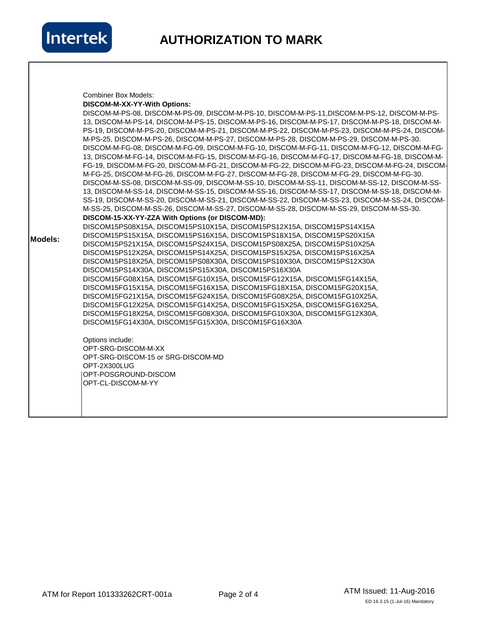

|                | <b>Combiner Box Models:</b>                                                                    |
|----------------|------------------------------------------------------------------------------------------------|
|                | DISCOM-M-XX-YY-With Options:                                                                   |
|                | DISCOM-M-PS-08, DISCOM-M-PS-09, DISCOM-M-PS-10, DISCOM-M-PS-11, DISCOM-M-PS-12, DISCOM-M-PS-   |
|                | 13, DISCOM-M-PS-14, DISCOM-M-PS-15, DISCOM-M-PS-16, DISCOM-M-PS-17, DISCOM-M-PS-18, DISCOM-M-  |
|                | PS-19, DISCOM-M-PS-20, DISCOM-M-PS-21, DISCOM-M-PS-22, DISCOM-M-PS-23, DISCOM-M-PS-24, DISCOM- |
|                | M-PS-25, DISCOM-M-PS-26, DISCOM-M-PS-27, DISCOM-M-PS-28, DISCOM-M-PS-29, DISCOM-M-PS-30.       |
|                | DISCOM-M-FG-08, DISCOM-M-FG-09, DISCOM-M-FG-10, DISCOM-M-FG-11, DISCOM-M-FG-12, DISCOM-M-FG-   |
|                | 13, DISCOM-M-FG-14, DISCOM-M-FG-15, DISCOM-M-FG-16, DISCOM-M-FG-17, DISCOM-M-FG-18, DISCOM-M-  |
|                | FG-19, DISCOM-M-FG-20, DISCOM-M-FG-21, DISCOM-M-FG-22, DISCOM-M-FG-23, DISCOM-M-FG-24, DISCOM- |
|                | M-FG-25, DISCOM-M-FG-26, DISCOM-M-FG-27, DISCOM-M-FG-28, DISCOM-M-FG-29, DISCOM-M-FG-30.       |
|                | DISCOM-M-SS-08, DISCOM-M-SS-09, DISCOM-M-SS-10, DISCOM-M-SS-11, DISCOM-M-SS-12, DISCOM-M-SS-   |
|                | 13, DISCOM-M-SS-14, DISCOM-M-SS-15, DISCOM-M-SS-16, DISCOM-M-SS-17, DISCOM-M-SS-18, DISCOM-M-  |
|                | SS-19, DISCOM-M-SS-20, DISCOM-M-SS-21, DISCOM-M-SS-22, DISCOM-M-SS-23, DISCOM-M-SS-24, DISCOM- |
|                | M-SS-25, DISCOM-M-SS-26, DISCOM-M-SS-27, DISCOM-M-SS-28, DISCOM-M-SS-29, DISCOM-M-SS-30.       |
|                | DISCOM-15-XX-YY-ZZA With Options (or DISCOM-MD):                                               |
|                | DISCOM15PS08X15A, DISCOM15PS10X15A, DISCOM15PS12X15A, DISCOM15PS14X15A                         |
|                | DISCOM15PS15X15A, DISCOM15PS16X15A, DISCOM15PS18X15A, DISCOM15PS20X15A                         |
| <b>Models:</b> | DISCOM15PS21X15A, DISCOM15PS24X15A, DISCOM15PS08X25A, DISCOM15PS10X25A                         |
|                | DISCOM15PS12X25A, DISCOM15PS14X25A, DISCOM15PS15X25A, DISCOM15PS16X25A                         |
|                | DISCOM15PS18X25A, DISCOM15PS08X30A, DISCOM15PS10X30A, DISCOM15PS12X30A                         |
|                | DISCOM15PS14X30A, DISCOM15PS15X30A, DISCOM15PS16X30A                                           |
|                | DISCOM15FG08X15A, DISCOM15FG10X15A, DISCOM15FG12X15A, DISCOM15FG14X15A,                        |
|                | DISCOM15FG15X15A, DISCOM15FG16X15A, DISCOM15FG18X15A, DISCOM15FG20X15A,                        |
|                | DISCOM15FG21X15A, DISCOM15FG24X15A, DISCOM15FG08X25A, DISCOM15FG10X25A,                        |
|                | DISCOM15FG12X25A, DISCOM15FG14X25A, DISCOM15FG15X25A, DISCOM15FG16X25A,                        |
|                | DISCOM15FG18X25A, DISCOM15FG08X30A, DISCOM15FG10X30A, DISCOM15FG12X30A,                        |
|                | DISCOM15FG14X30A, DISCOM15FG15X30A, DISCOM15FG16X30A                                           |
|                | Options include:                                                                               |
|                | OPT-SRG-DISCOM-M-XX                                                                            |
|                | OPT-SRG-DISCOM-15 or SRG-DISCOM-MD                                                             |
|                | OPT-2X300LUG                                                                                   |
|                | OPT-POSGROUND-DISCOM                                                                           |
|                | OPT-CL-DISCOM-M-YY                                                                             |
|                |                                                                                                |
|                |                                                                                                |
|                |                                                                                                |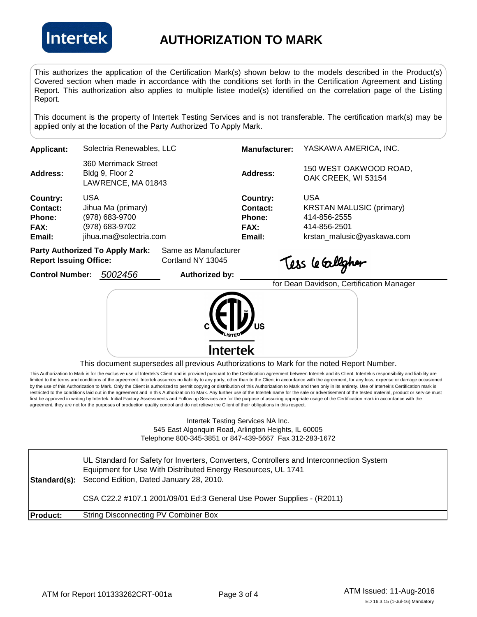

## **AUTHORIZATION TO MARK**

This authorizes the application of the Certification Mark(s) shown below to the models described in the Product(s) Covered section when made in accordance with the conditions set forth in the Certification Agreement and Listing Report. This authorization also applies to multiple listee model(s) identified on the correlation page of the Listing Report.

This document is the property of Intertek Testing Services and is not transferable. The certification mark(s) may be applied only at the location of the Party Authorized To Apply Mark.

| <b>Applicant:</b> | Solectria Renewables, LLC                                     | <b>Manufacturer:</b> | YASKAWA AMERICA, INC.                         |
|-------------------|---------------------------------------------------------------|----------------------|-----------------------------------------------|
| <b>Address:</b>   | 360 Merrimack Street<br>Bldg 9, Floor 2<br>LAWRENCE, MA 01843 | Address:             | 150 WEST OAKWOOD ROAD,<br>OAK CREEK, WI 53154 |
| Country:          | USA                                                           | Country:             | USA                                           |
| <b>Contact:</b>   | Jihua Ma (primary)                                            | Contact:             | <b>KRSTAN MALUSIC (primary)</b>               |
| <b>Phone:</b>     | (978) 683-9700                                                | Phone:               | 414-856-2555                                  |
| <b>FAX:</b>       | (978) 683-9702                                                | <b>FAX:</b>          | 414-856-2501                                  |
| Email:            | jihua.ma@solectria.com                                        | Email:               | krstan_malusic@yaskawa.com                    |
|                   | Party Authorized To Annly Mark<br>Same as Manufacturer        |                      |                                               |

**Party Authorized To Apply Mark:** Same as Manufacturer **Report Issuing Office:** Cortland NY 13045

Control Number: 5002456 **Authorized by:** 

Tess le Calligher

for Dean Davidson, Certification Manager **Intertek** 

This document supersedes all previous Authorizations to Mark for the noted Report Number.

This Authorization to Mark is for the exclusive use of Intertek's Client and is provided pursuant to the Certification agreement between Intertek and its Client. Intertek's responsibility and liability are limited to the terms and conditions of the agreement. Intertek assumes no liability to any party, other than to the Client in accordance with the agreement, for any loss, expense or damage occasioned by the use of this Authorization to Mark. Only the Client is authorized to permit copying or distribution of this Authorization to Mark and then only in its entirety. Use of Intertek's Certification mark is restricted to the conditions laid out in the agreement and in this Authorization to Mark. Any further use of the Intertek name for the sale or advertisement of the tested material, product or service must first be approved in writing by Intertek. Initial Factory Assessments and Follow up Services are for the purpose of assuring appropriate usage of the Certification mark in accordance with the agreement, they are not for the purposes of production quality control and do not relieve the Client of their obligations in this respect.

> Intertek Testing Services NA Inc. 545 East Algonquin Road, Arlington Heights, IL 60005 Telephone 800-345-3851 or 847-439-5667 Fax 312-283-1672

Standard(s): Second Edition, Dated January 28, 2010. **Product:** String Disconnecting PV Combiner Box UL Standard for Safety for Inverters, Converters, Controllers and Interconnection System Equipment for Use With Distributed Energy Resources, UL 1741 CSA C22.2 #107.1 2001/09/01 Ed:3 General Use Power Supplies - (R2011)